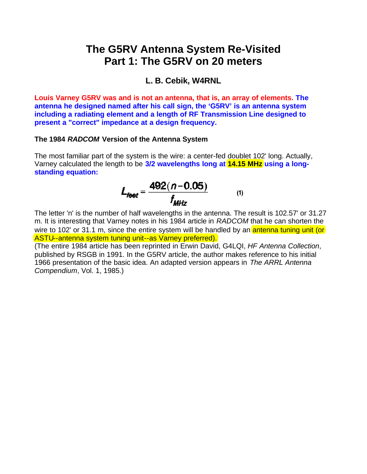# **The G5RV Antenna System Re-Visited Part 1: The G5RV on 20 meters**

# **L. B. Cebik, W4RNL**

**Louis Varney G5RV was and is not an antenna, that is, an array of elements. The antenna he designed named after his call sign, the 'G5RV' is an antenna system including a radiating element and a length of RF Transmission Line designed to present a "correct" impedance at a design frequency.** 

# **The 1984** *RADCOM* **Version of the Antenna System**

The most familiar part of the system is the wire: a center-fed doublet 102' long. Actually, Varney calculated the length to be **3/2 wavelengths long at 14.15 MHz using a longstanding equation:**

$$
L_{\text{foot}} = \frac{492(n-0.05)}{f_{\text{MHz}}}
$$
 (1)

The letter 'n' is the number of half wavelengths in the antenna. The result is 102.57' or 31.27 m. It is interesting that Varney notes in his 1984 article in *RADCOM* that he can shorten the wire to 102' or 31.1 m, since the entire system will be handled by an antenna tuning unit (or ASTU--antenna system tuning unit--as Varney preferred).

(The entire 1984 article has been reprinted in Erwin David, G4LQI, *HF Antenna Collection*, published by RSGB in 1991. In the G5RV article, the author makes reference to his initial 1966 presentation of the basic idea. An adapted version appears in *The ARRL Antenna Compendium*, Vol. 1, 1985.)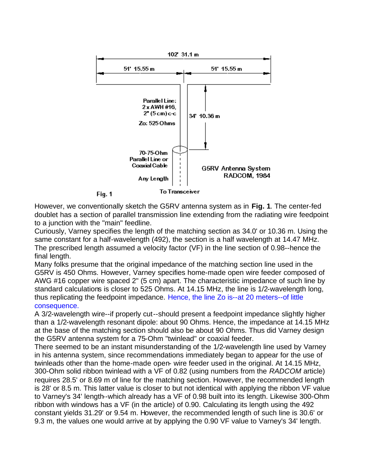

However, we conventionally sketch the G5RV antenna system as in **Fig. 1**. The center-fed doublet has a section of parallel transmission line extending from the radiating wire feedpoint to a junction with the "main" feedline.

Curiously, Varney specifies the length of the matching section as 34.0' or 10.36 m. Using the same constant for a half-wavelength (492), the section is a half wavelength at 14.47 MHz. The prescribed length assumed a velocity factor (VF) in the line section of 0.98--hence the final length.

Many folks presume that the original impedance of the matching section line used in the G5RV is 450 Ohms. However, Varney specifies home-made open wire feeder composed of AWG #16 copper wire spaced 2" (5 cm) apart. The characteristic impedance of such line by standard calculations is closer to 525 Ohms. At 14.15 MHz, the line is 1/2-wavelength long, thus replicating the feedpoint impedance. Hence, the line Zo is--at 20 meters--of little consequence.

A 3/2-wavelength wire--if properly cut--should present a feedpoint impedance slightly higher than a 1/2-wavelength resonant dipole: about 90 Ohms. Hence, the impedance at 14.15 MHz at the base of the matching section should also be about 90 Ohms. Thus did Varney design the G5RV antenna system for a 75-Ohm "twinlead" or coaxial feeder.

There seemed to be an instant misunderstanding of the 1/2-wavelength line used by Varney in his antenna system, since recommendations immediately began to appear for the use of twinleads other than the home-made open- wire feeder used in the original. At 14.15 MHz, 300-Ohm solid ribbon twinlead with a VF of 0.82 (using numbers from the *RADCOM* article) requires 28.5' or 8.69 m of line for the matching section. However, the recommended length is 28' or 8.5 m. This latter value is closer to but not identical with applying the ribbon VF value to Varney's 34' length--which already has a VF of 0.98 built into its length. Likewise 300-Ohm ribbon with windows has a VF (in the article) of 0.90. Calculating its length using the 492 constant yields 31.29' or 9.54 m. However, the recommended length of such line is 30.6' or 9.3 m, the values one would arrive at by applying the 0.90 VF value to Varney's 34' length.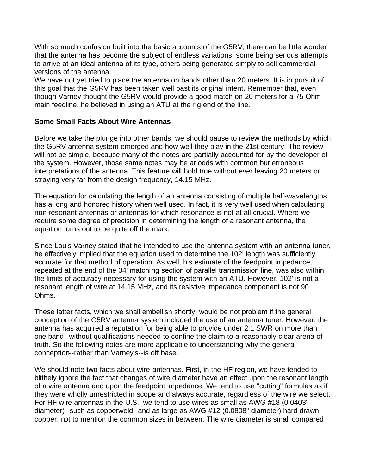With so much confusion built into the basic accounts of the G5RV, there can be little wonder that the antenna has become the subject of endless variations, some being serious attempts to arrive at an ideal antenna of its type, others being generated simply to sell commercial versions of the antenna.

We have not yet tried to place the antenna on bands other than 20 meters. It is in pursuit of this goal that the G5RV has been taken well past its original intent. Remember that, even though Varney thought the G5RV would provide a good match on 20 meters for a 75-Ohm main feedline, he believed in using an ATU at the rig end of the line.

# **Some Small Facts About Wire Antennas**

Before we take the plunge into other bands, we should pause to review the methods by which the G5RV antenna system emerged and how well they play in the 21st century. The review will not be simple, because many of the notes are partially accounted for by the developer of the system. However, those same notes may be at odds with common but erroneous interpretations of the antenna. This feature will hold true without ever leaving 20 meters or straying very far from the design frequency, 14.15 MHz.

The equation for calculating the length of an antenna consisting of multiple half-wavelengths has a long and honored history when well used. In fact, it is very well used when calculating non-resonant antennas or antennas for which resonance is not at all crucial. Where we require some degree of precision in determining the length of a resonant antenna, the equation turns out to be quite off the mark.

Since Louis Varney stated that he intended to use the antenna system with an antenna tuner, he effectively implied that the equation used to determine the 102' length was sufficiently accurate for that method of operation. As well, his estimate of the feedpoint impedance, repeated at the end of the 34' matching section of parallel transmission line, was also within the limits of accuracy necessary for using the system with an ATU. However, 102' is not a resonant length of wire at 14.15 MHz, and its resistive impedance component is not 90 Ohms.

These latter facts, which we shall embellish shortly, would be not problem if the general conception of the G5RV antenna system included the use of an antenna tuner. However, the antenna has acquired a reputation for being able to provide under 2:1 SWR on more than one band--without qualifications needed to confine the claim to a reasonably clear arena of truth. So the following notes are more applicable to understanding why the general conception--rather than Varney's--is off base.

We should note two facts about wire antennas. First, in the HF region, we have tended to blithely ignore the fact that changes of wire diameter have an effect upon the resonant length of a wire antenna and upon the feedpoint impedance. We tend to use "cutting" formulas as if they were wholly unrestricted in scope and always accurate, regardless of the wire we select. For HF wire antennas in the U.S., we tend to use wires as small as AWG #18 (0.0403" diameter)--such as copperweld--and as large as AWG #12 (0.0808" diameter) hard drawn copper, not to mention the common sizes in between. The wire diameter is small compared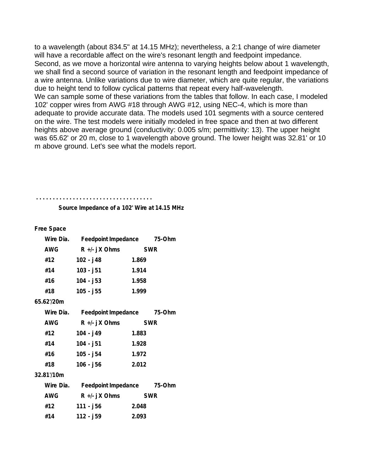to a wavelength (about 834.5" at 14.15 MHz); nevertheless, a 2:1 change of wire diameter will have a recordable affect on the wire's resonant length and feedpoint impedance. Second, as we move a horizontal wire antenna to varying heights below about 1 wavelength, we shall find a second source of variation in the resonant length and feedpoint impedance of a wire antenna. Unlike variations due to wire diameter, which are quite regular, the variations due to height tend to follow cyclical patterns that repeat every half-wavelength. We can sample some of these variations from the tables that follow. In each case, I modeled 102' copper wires from AWG #18 through AWG #12, using NEC-4, which is more than adequate to provide accurate data. The models used 101 segments with a source centered on the wire. The test models were initially modeled in free space and then at two different heights above average ground (conductivity: 0.005 s/m; permittivity: 13). The upper height was 65.62' or 20 m, close to 1 wavelength above ground. The lower height was 32.81' or 10 m above ground. Let's see what the models report.

#### **. . . . . . . . . . . . . . . . . . . . . . . . . . . . . . . . . . .**

 **Source Impedance of a 102' Wire at 14.15 MHz**

#### **Free Space**

|            | Wire Dia. Feedpoint Impedance 75-Ohm |       |            |
|------------|--------------------------------------|-------|------------|
| AWG        | $R +$ /- j X Ohms                    |       | <b>SWR</b> |
| #12        | 102 - j 48                           | 1.869 |            |
| #14        | 103 - j 51                           | 1.914 |            |
| #16        | $104 - j53$                          | 1.958 |            |
| #18        | $105 - j55$                          | 1.999 |            |
| 65.62'/20m |                                      |       |            |
| Wire Dia.  | Feedpoint Impedance 75-Ohm           |       |            |
| AWG        | $R +$ /- j X Ohms                    |       | <b>SWR</b> |
| #12        | $104 - j49$                          | 1.883 |            |
| #14        | $104 - j51$                          | 1.928 |            |
| #16        | $105 - j54$                          | 1.972 |            |
| #18        | $106 - j56$                          | 2.012 |            |
| 32.81'/10m |                                      |       |            |
| Wire Dia.  | Feedpoint Impedance 75-Ohm           |       |            |
| AWG        | R +/- j X Ohms                       |       | <b>SWR</b> |
| #12        | 111 - j 56                           | 2.048 |            |
| #14        | 112 - j 59                           | 2.093 |            |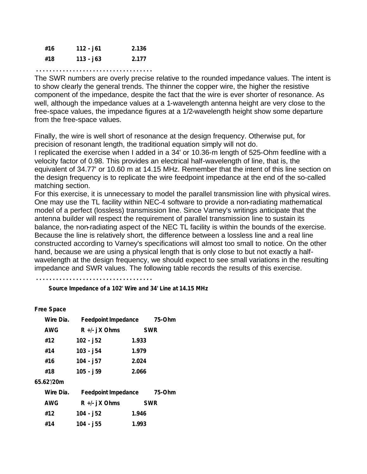| #16 | $112 - j61$ | 2.136 |
|-----|-------------|-------|
| #18 | 113 - j 63  | 2.177 |

 **. . . . . . . . . . . . . . . . . . . . . . . . . . . . . . . . . . .**

The SWR numbers are overly precise relative to the rounded impedance values. The intent is to show clearly the general trends. The thinner the copper wire, the higher the resistive component of the impedance, despite the fact that the wire is ever shorter of resonance. As well, although the impedance values at a 1-wavelength antenna height are very close to the free-space values, the impedance figures at a 1/2-wavelength height show some departure from the free-space values.

Finally, the wire is well short of resonance at the design frequency. Otherwise put, for precision of resonant length, the traditional equation simply will not do.

I replicated the exercise when I added in a 34' or 10.36-m length of 525-Ohm feedline with a velocity factor of 0.98. This provides an electrical half-wavelength of line, that is, the equivalent of 34.77' or 10.60 m at 14.15 MHz. Remember that the intent of this line section on the design frequency is to replicate the wire feedpoint impedance at the end of the so-called matching section.

For this exercise, it is unnecessary to model the parallel transmission line with physical wires. One may use the TL facility within NEC-4 software to provide a non-radiating mathematical model of a perfect (lossless) transmission line. Since Varney's writings anticipate that the antenna builder will respect the requirement of parallel transmission line to sustain its balance, the non-radiating aspect of the NEC TL facility is within the bounds of the exercise. Because the line is relatively short, the difference between a lossless line and a real line constructed according to Varney's specifications will almost too small to notice. On the other hand, because we are using a physical length that is only close to but not exactly a halfwavelength at the design frequency, we should expect to see small variations in the resulting impedance and SWR values. The following table records the results of this exercise.

 **. . . . . . . . . . . . . . . . . . . . . . . . . . . . . . . . . . .**

 **Source Impedance of a 102' Wire and 34' Line at 14.15 MHz**

#### **Free Space**

| Wire Dia.  | <b>Feedpoint Impedance</b> | 75-Ohm     |
|------------|----------------------------|------------|
| <b>AWG</b> | $R +$ /- j X Ohms          | <b>SWR</b> |
| #12        | $102 - j52$                | 1.933      |
| #14        | $103 - j54$                | 1.979      |
| #16        | $104 - j57$                | 2.024      |
| #18        | $105 - j59$                | 2.066      |
| 65.62'/20m |                            |            |
| Wire Dia.  | <b>Feedpoint Impedance</b> | 75-Ohm     |
| <b>AWG</b> | $R +$ /- j X Ohms          | <b>SWR</b> |
| #12        | $104 - j52$                | 1.946      |
| #14        | $104 - j55$                | 1.993      |
|            |                            |            |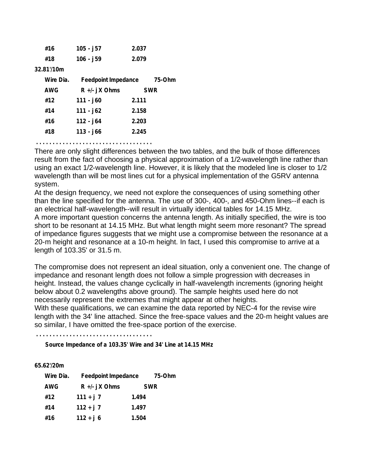| #16        | $105 - j57$                | 2.037      |
|------------|----------------------------|------------|
| #18        | $106 - j59$                | 2.079      |
| 32.81'/10m |                            |            |
| Wire Dia.  | <b>Feedpoint Impedance</b> | 75-Ohm     |
| <b>AWG</b> | $R +$ /- j X Ohms          | <b>SWR</b> |
| #12        | 111 - $j$ 60               | 2.111      |
| #14        | 111 - $j$ 62               | 2.158      |
| #16        | 112 - $j$ 64               | 2.203      |
| #18        | $113 - j66$                | 2.245      |
|            |                            |            |

There are only slight differences between the two tables, and the bulk of those differences result from the fact of choosing a physical approximation of a 1/2-wavelength line rather than using an exact 1/2-wavelength line. However, it is likely that the modeled line is closer to 1/2 wavelength than will be most lines cut for a physical implementation of the G5RV antenna system.

At the design frequency, we need not explore the consequences of using something other than the line specified for the antenna. The use of 300-, 400-, and 450-Ohm lines--if each is an electrical half-wavelength--will result in virtually identical tables for 14.15 MHz. A more important question concerns the antenna length. As initially specified, the wire is too short to be resonant at 14.15 MHz. But what length might seem more resonant? The spread of impedance figures suggests that we might use a compromise between the resonance at a 20-m height and resonance at a 10-m height. In fact, I used this compromise to arrive at a length of 103.35' or 31.5 m.

The compromise does not represent an ideal situation, only a convenient one. The change of impedance and resonant length does not follow a simple progression with decreases in height. Instead, the values change cyclically in half-wavelength increments (ignoring height below about 0.2 wavelengths above ground). The sample heights used here do not necessarily represent the extremes that might appear at other heights.

With these qualifications, we can examine the data reported by NEC-4 for the revise wire length with the 34' line attached. Since the free-space values and the 20-m height values are so similar, I have omitted the free-space portion of the exercise.

 **. . . . . . . . . . . . . . . . . . . . . . . . . . . . . . . . . . .**

 **Source Impedance of a 103.35' Wire and 34' Line at 14.15 MHz**

#### **65.62'/20m**

| Wire Dia.  | <b>Feedpoint Impedance</b> | 75-Ohm     |
|------------|----------------------------|------------|
| <b>AWG</b> | $R +$ /- j X Ohms          | <b>SWR</b> |
| #12        | $111 + j$ 7                | 1.494      |
| #14        | $112 + j$ 7                | 1.497      |
| #16        | $112 + j6$                 | 1.504      |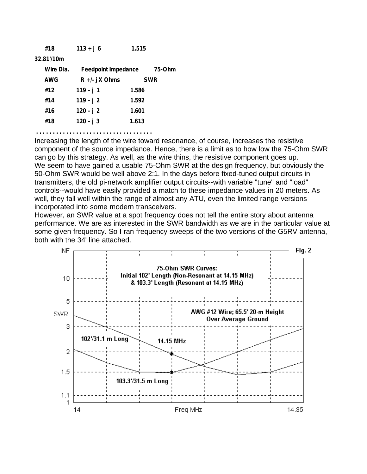**#18 113 + j 6 1.515**

#### **32.81'/10m**

| Wire Dia.  | <b>Feedpoint Impedance</b> | 75-Ohm     |  |
|------------|----------------------------|------------|--|
| <b>AWG</b> | $R +$ /- j X Ohms          | <b>SWR</b> |  |
| #12        | 119 - $\vert$ 1            | 1.586      |  |
| #14        | 119 - $j$ 2                | 1.592      |  |
| #16        | $120 - j$ 2                | 1.601      |  |
| #18        | $120 - j$ 3                | 1.613      |  |
|            |                            |            |  |

 **. . . . . . . . . . . . . . . . . . . . . . . . . . . . . . . . . . .**

Increasing the length of the wire toward resonance, of course, increases the resistive component of the source impedance. Hence, there is a limit as to how low the 75-Ohm SWR can go by this strategy. As well, as the wire thins, the resistive component goes up. We seem to have gained a usable 75-Ohm SWR at the design frequency, but obviously the 50-Ohm SWR would be well above 2:1. In the days before fixed-tuned output circuits in transmitters, the old pi-network amplifier output circuits--with variable "tune" and "load" controls--would have easily provided a match to these impedance values in 20 meters. As well, they fall well within the range of almost any ATU, even the limited range versions incorporated into some modern transceivers.

However, an SWR value at a spot frequency does not tell the entire story about antenna performance. We are as interested in the SWR bandwidth as we are in the particular value at some given frequency. So I ran frequency sweeps of the two versions of the G5RV antenna, both with the 34' line attached.

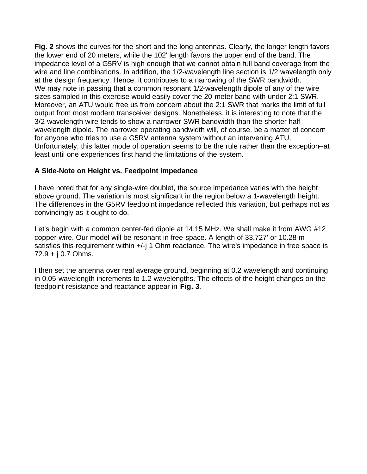**Fig. 2** shows the curves for the short and the long antennas. Clearly, the longer length favors the lower end of 20 meters, while the 102' length favors the upper end of the band. The impedance level of a G5RV is high enough that we cannot obtain full band coverage from the wire and line combinations. In addition, the 1/2-wavelength line section is 1/2 wavelength only at the design frequency. Hence, it contributes to a narrowing of the SWR bandwidth. We may note in passing that a common resonant 1/2-wavelength dipole of any of the wire sizes sampled in this exercise would easily cover the 20-meter band with under 2:1 SWR. Moreover, an ATU would free us from concern about the 2:1 SWR that marks the limit of full output from most modern transceiver designs. Nonetheless, it is interesting to note that the 3/2-wavelength wire tends to show a narrower SWR bandwidth than the shorter halfwavelength dipole. The narrower operating bandwidth will, of course, be a matter of concern for anyone who tries to use a G5RV antenna system without an intervening ATU. Unfortunately, this latter mode of operation seems to be the rule rather than the exception--at least until one experiences first hand the limitations of the system.

# **A Side-Note on Height vs. Feedpoint Impedance**

I have noted that for any single-wire doublet, the source impedance varies with the height above ground. The variation is most significant in the region below a 1-wavelength height. The differences in the G5RV feedpoint impedance reflected this variation, but perhaps not as convincingly as it ought to do.

Let's begin with a common center-fed dipole at 14.15 MHz. We shall make it from AWG #12 copper wire. Our model will be resonant in free-space. A length of 33.727' or 10.28 m satisfies this requirement within +/-j 1 Ohm reactance. The wire's impedance in free space is 72.9 + j 0.7 Ohms.

I then set the antenna over real average ground, beginning at 0.2 wavelength and continuing in 0.05-wavelength increments to 1.2 wavelengths. The effects of the height changes on the feedpoint resistance and reactance appear in **Fig. 3**.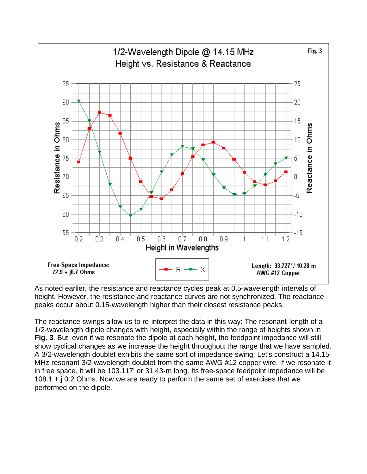

As noted earlier, the resistance and reactance cycles peak at 0.5-wavelength intervals of height. However, the resistance and reactance curves are not synchronized. The reactance peaks occur about 0.15-wavelength higher than their closest resistance peaks.

The reactance swings allow us to re-interpret the data in this way: The resonant length of a 1/2-wavelength dipole changes with height, especially within the range of heights shown in **Fig. 3**. But, even if we resonate the dipole at each height, the feedpoint impedance will still show cyclical changes as we increase the height throughout the range that we have sampled. A 3/2-wavelength doublet exhibits the same sort of impedance swing. Let's construct a 14.15- MHz resonant 3/2-wavelength doublet from the same AWG #12 copper wire. If we resonate it in free space, it will be 103.117' or 31.43-m long. Its free-space feedpoint impedance will be 108.1 + j 0.2 Ohms. Now we are ready to perform the same set of exercises that we performed on the dipole.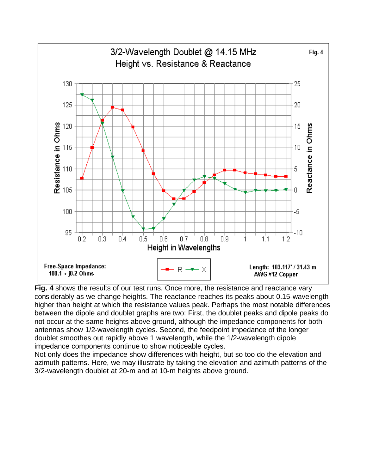

**Fig. 4** shows the results of our test runs. Once more, the resistance and reactance vary considerably as we change heights. The reactance reaches its peaks about 0.15-wavelength higher than height at which the resistance values peak. Perhaps the most notable differences between the dipole and doublet graphs are two: First, the doublet peaks and dipole peaks do not occur at the same heights above ground, although the impedance components for both antennas show 1/2-wavelength cycles. Second, the feedpoint impedance of the longer doublet smoothes out rapidly above 1 wavelength, while the 1/2-wavelength dipole impedance components continue to show noticeable cycles.

Not only does the impedance show differences with height, but so too do the elevation and azimuth patterns. Here, we may illustrate by taking the elevation and azimuth patterns of the 3/2-wavelength doublet at 20-m and at 10-m heights above ground.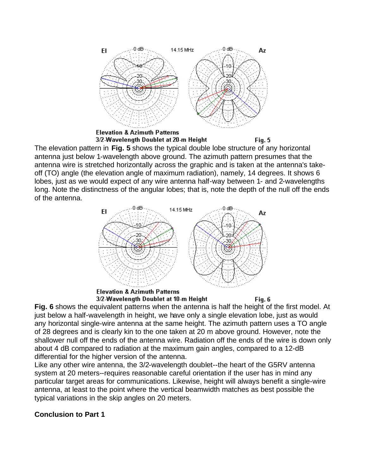

The elevation pattern in **Fig. 5** shows the typical double lobe structure of any horizontal antenna just below 1-wavelength above ground. The azimuth pattern presumes that the antenna wire is stretched horizontally across the graphic and is taken at the antenna's takeoff (TO) angle (the elevation angle of maximum radiation), namely, 14 degrees. It shows 6 lobes, just as we would expect of any wire antenna half-way between 1- and 2-wavelengths long. Note the distinctness of the angular lobes; that is, note the depth of the null off the ends of the antenna.



3/2-Wavelength Doublet at 10-m Height

Fig. 6

**Fig. 6** shows the equivalent patterns when the antenna is half the height of the first model. At just below a half-wavelength in height, we have only a single elevation lobe, just as would any horizontal single-wire antenna at the same height. The azimuth pattern uses a TO angle of 28 degrees and is clearly kin to the one taken at 20 m above ground. However, note the shallower null off the ends of the antenna wire. Radiation off the ends of the wire is down only about 4 dB compared to radiation at the maximum gain angles, compared to a 12-dB differential for the higher version of the antenna.

Like any other wire antenna, the 3/2-wavelength doublet--the heart of the G5RV antenna system at 20 meters--requires reasonable careful orientation if the user has in mind any particular target areas for communications. Likewise, height will always benefit a single-wire antenna, at least to the point where the vertical beamwidth matches as best possible the typical variations in the skip angles on 20 meters.

# **Conclusion to Part 1**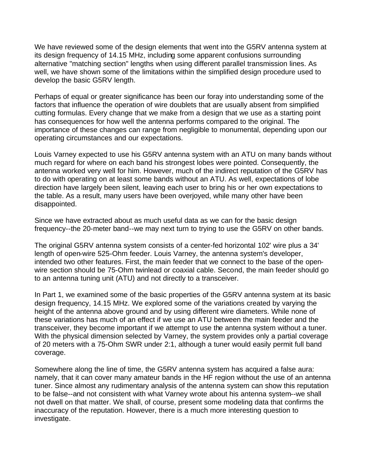We have reviewed some of the design elements that went into the G5RV antenna system at its design frequency of 14.15 MHz, including some apparent confusions surrounding alternative "matching section" lengths when using different parallel transmission lines. As well, we have shown some of the limitations within the simplified design procedure used to develop the basic G5RV length.

Perhaps of equal or greater significance has been our foray into understanding some of the factors that influence the operation of wire doublets that are usually absent from simplified cutting formulas. Every change that we make from a design that we use as a starting point has consequences for how well the antenna performs compared to the original. The importance of these changes can range from negligible to monumental, depending upon our operating circumstances and our expectations.

Louis Varney expected to use his G5RV antenna system with an ATU on many bands without much regard for where on each band his strongest lobes were pointed. Consequently, the antenna worked very well for him. However, much of the indirect reputation of the G5RV has to do with operating on at least some bands without an ATU. As well, expectations of lobe direction have largely been silent, leaving each user to bring his or her own expectations to the table. As a result, many users have been overjoyed, while many other have been disappointed.

Since we have extracted about as much useful data as we can for the basic design frequency--the 20-meter band--we may next turn to trying to use the G5RV on other bands.

The original G5RV antenna system consists of a center-fed horizontal 102' wire plus a 34' length of open-wire 525-Ohm feeder. Louis Varney, the antenna system's developer, intended two other features. First, the main feeder that we connect to the base of the openwire section should be 75-Ohm twinlead or coaxial cable. Second, the main feeder should go to an antenna tuning unit (ATU) and not directly to a transceiver.

In Part 1, we examined some of the basic properties of the G5RV antenna system at its basic design frequency, 14.15 MHz. We explored some of the variations created by varying the height of the antenna above ground and by using different wire diameters. While none of these variations has much of an effect if we use an ATU between the main feeder and the transceiver, they become important if we attempt to use the antenna system without a tuner. With the physical dimension selected by Varney, the system provides only a partial coverage of 20 meters with a 75-Ohm SWR under 2:1, although a tuner would easily permit full band coverage.

Somewhere along the line of time, the G5RV antenna system has acquired a false aura: namely, that it can cover many amateur bands in the HF region without the use of an antenna tuner. Since almost any rudimentary analysis of the antenna system can show this reputation to be false--and not consistent with what Varney wrote about his antenna system--we shall not dwell on that matter. We shall, of course, present some modeling data that confirms the inaccuracy of the reputation. However, there is a much more interesting question to investigate.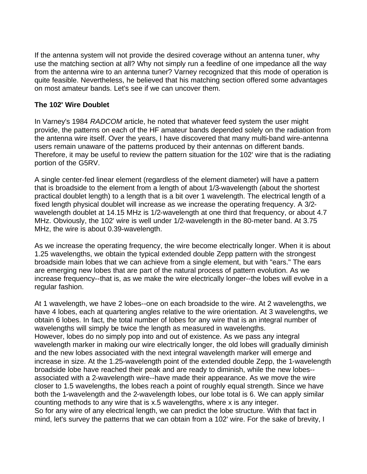If the antenna system will not provide the desired coverage without an antenna tuner, why use the matching section at all? Why not simply run a feedline of one impedance all the way from the antenna wire to an antenna tuner? Varney recognized that this mode of operation is quite feasible. Nevertheless, he believed that his matching section offered some advantages on most amateur bands. Let's see if we can uncover them.

# **The 102' Wire Doublet**

In Varney's 1984 *RADCOM* article, he noted that whatever feed system the user might provide, the patterns on each of the HF amateur bands depended solely on the radiation from the antenna wire itself. Over the years, I have discovered that many multi-band wire-antenna users remain unaware of the patterns produced by their antennas on different bands. Therefore, it may be useful to review the pattern situation for the 102' wire that is the radiating portion of the G5RV.

A single center-fed linear element (regardless of the element diameter) will have a pattern that is broadside to the element from a length of about 1/3-wavelength (about the shortest practical doublet length) to a length that is a bit over 1 wavelength. The electrical length of a fixed length physical doublet will increase as we increase the operating frequency. A 3/2 wavelength doublet at 14.15 MHz is 1/2-wavelength at one third that frequency, or about 4.7 MHz. Obviously, the 102' wire is well under 1/2-wavelength in the 80-meter band. At 3.75 MHz, the wire is about 0.39-wavelength.

As we increase the operating frequency, the wire become electrically longer. When it is about 1.25 wavelengths, we obtain the typical extended double Zepp pattern with the strongest broadside main lobes that we can achieve from a single element, but with "ears." The ears are emerging new lobes that are part of the natural process of pattern evolution. As we increase frequency--that is, as we make the wire electrically longer--the lobes will evolve in a regular fashion.

At 1 wavelength, we have 2 lobes--one on each broadside to the wire. At 2 wavelengths, we have 4 lobes, each at quartering angles relative to the wire orientation. At 3 wavelengths, we obtain 6 lobes. In fact, the total number of lobes for any wire that is an integral number of wavelengths will simply be twice the length as measured in wavelengths. However, lobes do no simply pop into and out of existence. As we pass any integral wavelength marker in making our wire electrically longer, the old lobes will gradually diminish and the new lobes associated with the next integral wavelength marker will emerge and increase in size. At the 1.25-wavelength point of the extended double Zepp, the 1-wavelength broadside lobe have reached their peak and are ready to diminish, while the new lobes- associated with a 2-wavelength wire--have made their appearance. As we move the wire closer to 1.5 wavelengths, the lobes reach a point of roughly equal strength. Since we have both the 1-wavelength and the 2-wavelength lobes, our lobe total is 6. We can apply similar counting methods to any wire that is x.5 wavelengths, where x is any integer. So for any wire of any electrical length, we can predict the lobe structure. With that fact in mind, let's survey the patterns that we can obtain from a 102' wire. For the sake of brevity, I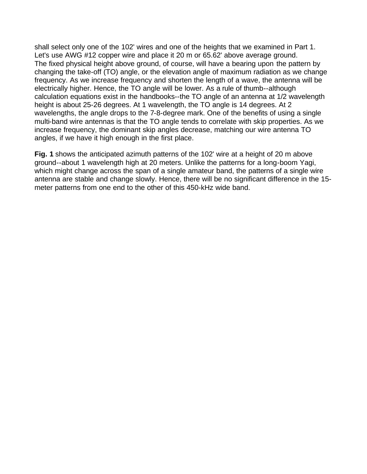shall select only one of the 102' wires and one of the heights that we examined in Part 1. Let's use AWG #12 copper wire and place it 20 m or 65.62' above average ground. The fixed physical height above ground, of course, will have a bearing upon the pattern by changing the take-off (TO) angle, or the elevation angle of maximum radiation as we change frequency. As we increase frequency and shorten the length of a wave, the antenna will be electrically higher. Hence, the TO angle will be lower. As a rule of thumb--although calculation equations exist in the handbooks--the TO angle of an antenna at 1/2 wavelength height is about 25-26 degrees. At 1 wavelength, the TO angle is 14 degrees. At 2 wavelengths, the angle drops to the 7-8-degree mark. One of the benefits of using a single multi-band wire antennas is that the TO angle tends to correlate with skip properties. As we increase frequency, the dominant skip angles decrease, matching our wire antenna TO angles, if we have it high enough in the first place.

**Fig. 1** shows the anticipated azimuth patterns of the 102' wire at a height of 20 m above ground--about 1 wavelength high at 20 meters. Unlike the patterns for a long-boom Yagi, which might change across the span of a single amateur band, the patterns of a single wire antenna are stable and change slowly. Hence, there will be no significant difference in the 15 meter patterns from one end to the other of this 450-kHz wide band.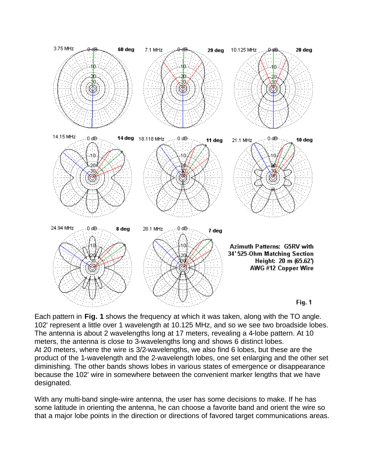

Each pattern in **Fig. 1** shows the frequency at which it was taken, along with the TO angle. 102' represent a little over 1 wavelength at 10.125 MHz, and so we see two broadside lobes. The antenna is about 2 wavelengths long at 17 meters, revealing a 4-lobe pattern. At 10 meters, the antenna is close to 3-wavelengths long and shows 6 distinct lobes. At 20 meters, where the wire is 3/2-wavelengths, we also find 6 lobes, but these are the product of the 1-wavelength and the 2-wavelength lobes, one set enlarging and the other set diminishing. The other bands shows lobes in various states of emergence or disappearance because the 102' wire in somewhere between the convenient marker lengths that we have designated.

With any multi-band single-wire antenna, the user has some decisions to make. If he has some latitude in orienting the antenna, he can choose a favorite band and orient the wire so that a major lobe points in the direction or directions of favored target communications areas.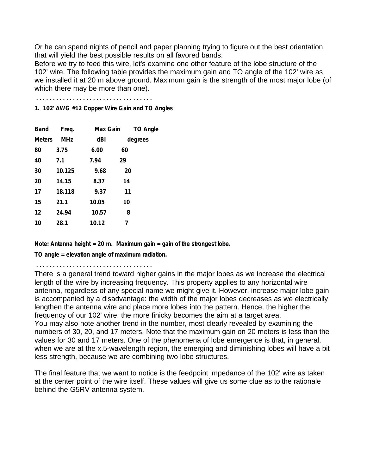Or he can spend nights of pencil and paper planning trying to figure out the best orientation that will yield the best possible results on all favored bands.

Before we try to feed this wire, let's examine one other feature of the lobe structure of the 102' wire. The following table provides the maximum gain and TO angle of the 102' wire as we installed it at 20 m above ground. Maximum gain is the strength of the most major lobe (of which there may be more than one).

 **. . . . . . . . . . . . . . . . . . . . . . . . . . . . . . . . . . .**

**1. 102' AWG #12 Copper Wire Gain and TO Angles**

| Band          | Freq.      | Max Gain | <b>TO Angle</b> |
|---------------|------------|----------|-----------------|
| <b>Meters</b> | <b>MHz</b> | dBi      | degrees         |
| 80            | 3.75       | 6.00     | 60              |
| 40            | 7.1        | 7.94     | 29              |
| 30            | 10.125     | 9.68     | 20              |
| 20            | 14.15      | 8.37     | 14              |
| 17            | 18.118     | 9.37     | 11              |
| 15            | 21.1       | 10.05    | 10              |
| 12            | 24.94      | 10.57    | 8               |
| 10            | 28.1       | 10.12    | 7               |

**Note: Antenna height = 20 m. Maximum gain = gain of the strongest lobe.**

**TO angle = elevation angle of maximum radiation.**

 **. . . . . . . . . . . . . . . . . . . . . . . . . . . . . . . . . . .**

There is a general trend toward higher gains in the major lobes as we increase the electrical length of the wire by increasing frequency. This property applies to any horizontal wire antenna, regardless of any special name we might give it. However, increase major lobe gain is accompanied by a disadvantage: the width of the major lobes decreases as we electrically lengthen the antenna wire and place more lobes into the pattern. Hence, the higher the frequency of our 102' wire, the more finicky becomes the aim at a target area. You may also note another trend in the number, most clearly revealed by examining the numbers of 30, 20, and 17 meters. Note that the maximum gain on 20 meters is less than the values for 30 and 17 meters. One of the phenomena of lobe emergence is that, in general, when we are at the x.5-wavelength region, the emerging and diminishing lobes will have a bit less strength, because we are combining two lobe structures.

The final feature that we want to notice is the feedpoint impedance of the 102' wire as taken at the center point of the wire itself. These values will give us some clue as to the rationale behind the G5RV antenna system.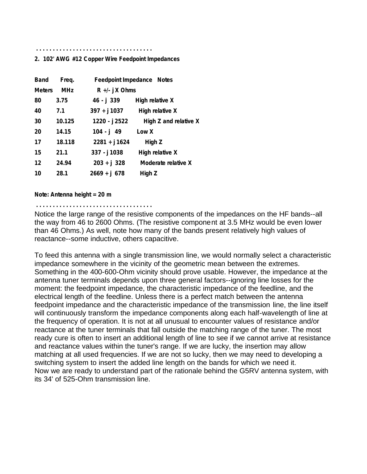**. . . . . . . . . . . . . . . . . . . . . . . . . . . . . . . . . . .**

**2. 102' AWG #12 Copper Wire Feedpoint Impedances**

| <b>Band</b>   | Freq.      | <b>Feedpoint Impedance Notes</b> |                       |  |  |
|---------------|------------|----------------------------------|-----------------------|--|--|
| <b>Meters</b> | <b>MHz</b> | $R +$ /- j X Ohms                |                       |  |  |
| 80            | 3.75       | $46 - j$ 339                     | High relative X       |  |  |
| 40            | 7.1        | $397 + j 1037$                   | High relative X       |  |  |
| 30            | 10.125     | 1220 - j 2522                    | High Z and relative X |  |  |
| 20            | 14.15      | $104 - j$ 49                     | Low X                 |  |  |
| 17            | 18.118     | $2281 + j 1624$                  | High Z                |  |  |
| 15            | 21.1       | 337 - j 1038                     | High relative X       |  |  |
| 12            | 24.94      | $203 + j$ 328                    | Moderate relative X   |  |  |
| 10            | 28.1       | $2669 + i 678$                   | High Z                |  |  |

**Note: Antenna height = 20 m**

 **. . . . . . . . . . . . . . . . . . . . . . . . . . . . . . . . . . .**

Notice the large range of the resistive components of the impedances on the HF bands--all the way from 46 to 2600 Ohms. (The resistive component at 3.5 MHz would be even lower than 46 Ohms.) As well, note how many of the bands present relatively high values of reactance--some inductive, others capacitive.

To feed this antenna with a single transmission line, we would normally select a characteristic impedance somewhere in the vicinity of the geometric mean between the extremes. Something in the 400-600-Ohm vicinity should prove usable. However, the impedance at the antenna tuner terminals depends upon three general factors--ignoring line losses for the moment: the feedpoint impedance, the characteristic impedance of the feedline, and the electrical length of the feedline. Unless there is a perfect match between the antenna feedpoint impedance and the characteristic impedance of the transmission line, the line itself will continuously transform the impedance components along each half-wavelength of line at the frequency of operation. It is not at all unusual to encounter values of resistance and/or reactance at the tuner terminals that fall outside the matching range of the tuner. The most ready cure is often to insert an additional length of line to see if we cannot arrive at resistance and reactance values within the tuner's range. If we are lucky, the insertion may allow matching at all used frequencies. If we are not so lucky, then we may need to developing a switching system to insert the added line length on the bands for which we need it. Now we are ready to understand part of the rationale behind the G5RV antenna system, with its 34' of 525-Ohm transmission line.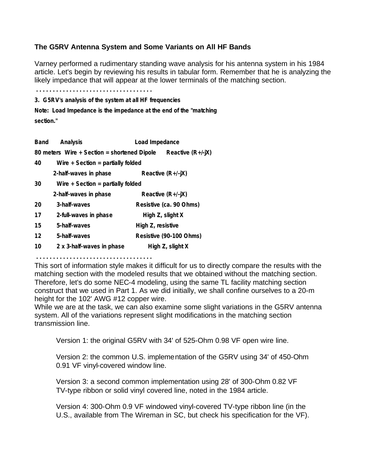# **The G5RV Antenna System and Some Variants on All HF Bands**

Varney performed a rudimentary standing wave analysis for his antenna system in his 1984 article. Let's begin by reviewing his results in tabular form. Remember that he is analyzing the likely impedance that will appear at the lower terminals of the matching section.

 **. . . . . . . . . . . . . . . . . . . . . . . . . . . . . . . . . . .**

**3. G5RV's analysis of the system at all HF frequencies**

**Note: Load Impedance is the impedance at the end of the "matching section."**

| Band    | <b>Analysis</b>                             | Load Impedance          |
|---------|---------------------------------------------|-------------------------|
|         | 80 meters Wire + Section = shortened Dipole | Reactive (R+/-jX)       |
| 40      | Wire $+$ Section = partially folded         |                         |
|         | 2-half-waves in phase                       | Reactive $(R+/-jX)$     |
| 30      | Wire $+$ Section = partially folded         |                         |
|         | 2-half-waves in phase                       | Reactive $(R+/-jX)$     |
| 20      | 3-half-waves                                | Resistive (ca. 90 Ohms) |
| 17      | 2-full-waves in phase                       | High Z, slight X        |
| 15      | 5-half-waves                                | High Z, resistive       |
| $12 \,$ | 5-half-waves                                | Resistive (90-100 Ohms) |
| 10      | 2 x 3-half-waves in phase                   | High Z, slight X        |
|         |                                             |                         |

 **. . . . . . . . . . . . . . . . . . . . . . . . . . . . . . . . . . .**

This sort of information style makes it difficult for us to directly compare the results with the matching section with the modeled results that we obtained without the matching section. Therefore, let's do some NEC-4 modeling, using the same TL facility matching section construct that we used in Part 1. As we did initially, we shall confine ourselves to a 20-m height for the 102' AWG #12 copper wire.

While we are at the task, we can also examine some slight variations in the G5RV antenna system. All of the variations represent slight modifications in the matching section transmission line.

Version 1: the original G5RV with 34' of 525-Ohm 0.98 VF open wire line.

Version 2: the common U.S. implementation of the G5RV using 34' of 450-Ohm 0.91 VF vinyl-covered window line.

Version 3: a second common implementation using 28' of 300-Ohm 0.82 VF TV-type ribbon or solid vinyl covered line, noted in the 1984 article.

Version 4: 300-Ohm 0.9 VF windowed vinyl-covered TV-type ribbon line (in the U.S., available from The Wireman in SC, but check his specification for the VF).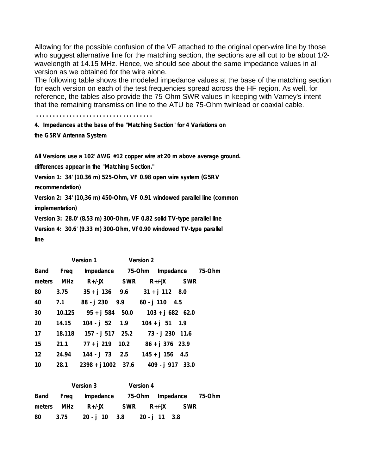Allowing for the possible confusion of the VF attached to the original open-wire line by those who suggest alternative line for the matching section, the sections are all cut to be about 1/2 wavelength at 14.15 MHz. Hence, we should see about the same impedance values in all version as we obtained for the wire alone.

The following table shows the modeled impedance values at the base of the matching section for each version on each of the test frequencies spread across the HF region. As well, for reference, the tables also provide the 75-Ohm SWR values in keeping with Varney's intent that the remaining transmission line to the ATU be 75-Ohm twinlead or coaxial cable.

 **. . . . . . . . . . . . . . . . . . . . . . . . . . . . . . . . . . .**

**4. Impedances at the base of the "Matching Section" for 4 Variations on the G5RV Antenna System**

**All Versions use a 102' AWG #12 copper wire at 20 m above average ground.**

**differences appear in the "Matching Section."**

**Version 1: 34' (10.36 m) 525-Ohm, VF 0.98 open wire system (G5RV**

**recommendation)**

**Version 2: 34' (10,36 m) 450-Ohm, VF 0.91 windowed parallel line (common implementation)**

**Version 3: 28.0' (8.53 m) 300-Ohm, VF 0.82 solid TV-type parallel line**

**Version 4: 30.6' (9.33 m) 300-Ohm, Vf 0.90 windowed TV-type parallel line**

|                 | Version 1 Version 2                          |  |  |  |
|-----------------|----------------------------------------------|--|--|--|
|                 | Band Freq Impedance 75-Ohm Impedance 75-Ohm  |  |  |  |
|                 | meters MHz R+/-jX SWR R+/-jX SWR             |  |  |  |
|                 | 80 3.75 35 + j 136 9.6 31 + j 112 8.0        |  |  |  |
|                 | 40 7.1 88 - j 230 9.9 60 - j 110 4.5         |  |  |  |
|                 | 30 10.125 $95 + j 584 50.0 103 + j 682 62.0$ |  |  |  |
|                 | 20 14.15 104 - j 52 1.9 104 + j 51 1.9       |  |  |  |
| 17 <sub>2</sub> | 18.118  157 - j 517  25.2  73 - j 230  11.6  |  |  |  |
|                 | 15 21.1 77 + j 219 10.2 86 + j 376 23.9      |  |  |  |
|                 | 12 24.94 144 - j 73 2.5 145 + j 156 4.5      |  |  |  |
|                 | 10 28.1 2398 + j 1002 37.6 409 - j 917 33.0  |  |  |  |

|  | Version 3                                   | <b>Version 4</b> |  |  |
|--|---------------------------------------------|------------------|--|--|
|  | Band Freq Impedance 75-Ohm Impedance 75-Ohm |                  |  |  |
|  | meters MHz $R+/ X$ SWR $R+/ X$ SWR          |                  |  |  |
|  | 80 3.75 20 - j 10 3.8 20 - j 11 3.8         |                  |  |  |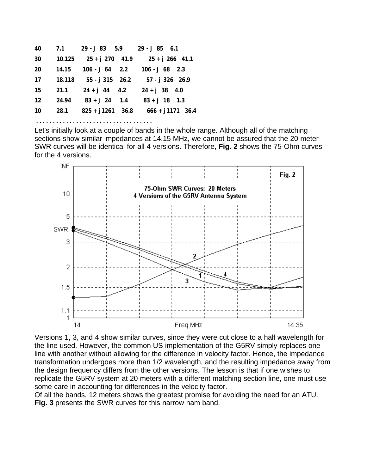**40 7.1 29 - j 83 5.9 29 - j 85 6.1 30 10.125 25 + j 270 41.9 25 + j 266 41.1 20 14.15 106 - j 64 2.2 106 - j 68 2.3 17 18.118 55 - j 315 26.2 57 - j 326 26.9 15 21.1 24 + j 44 4.2 24 + j 38 4.0 12 24.94 83 + j 24 1.4 83 + j 18 1.3 10 28.1 825 + j 1261 36.8 666 + j 1171 36.4**

 **. . . . . . . . . . . . . . . . . . . . . . . . . . . . . . . . . . .**

Let's initially look at a couple of bands in the whole range. Although all of the matching sections show similar impedances at 14.15 MHz, we cannot be assured that the 20 meter SWR curves will be identical for all 4 versions. Therefore, **Fig. 2** shows the 75-Ohm curves for the 4 versions.



Versions 1, 3, and 4 show similar curves, since they were cut close to a half wavelength for the line used. However, the common US implementation of the G5RV simply replaces one line with another without allowing for the difference in velocity factor. Hence, the impedance transformation undergoes more than 1/2 wavelength, and the resulting impedance away from the design frequency differs from the other versions. The lesson is that if one wishes to replicate the G5RV system at 20 meters with a different matching section line, one must use some care in accounting for differences in the velocity factor.

Of all the bands, 12 meters shows the greatest promise for avoiding the need for an ATU. **Fig. 3** presents the SWR curves for this narrow ham band.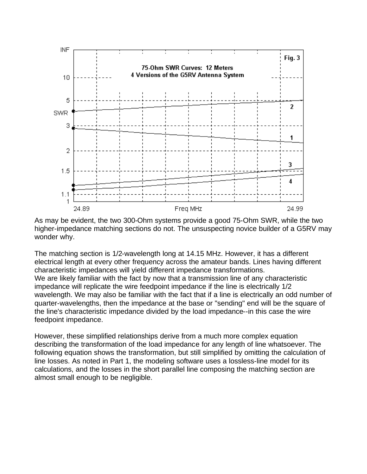

As may be evident, the two 300-Ohm systems provide a good 75-Ohm SWR, while the two higher-impedance matching sections do not. The unsuspecting novice builder of a G5RV may wonder why.

The matching section is 1/2-wavelength long at 14.15 MHz. However, it has a different electrical length at every other frequency across the amateur bands. Lines having different characteristic impedances will yield different impedance transformations. We are likely familiar with the fact by now that a transmission line of any characteristic impedance will replicate the wire feedpoint impedance if the line is electrically 1/2 wavelength. We may also be familiar with the fact that if a line is electrically an odd number of quarter-wavelengths, then the impedance at the base or "sending" end will be the square of the line's characteristic impedance divided by the load impedance--in this case the wire feedpoint impedance.

However, these simplified relationships derive from a much more complex equation describing the transformation of the load impedance for any length of line whatsoever. The following equation shows the transformation, but still simplified by omitting the calculation of line losses. As noted in Part 1, the modeling software uses a lossless-line model for its calculations, and the losses in the short parallel line composing the matching section are almost small enough to be negligible.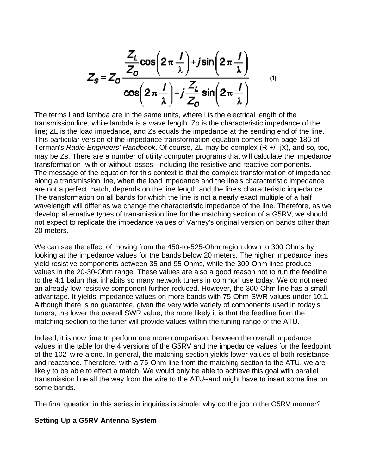$$
Z_{s} = Z_{0} \frac{\frac{Z_{L}}{Z_{0}} \cos\left(2\pi \frac{I}{\lambda}\right) + j \sin\left(2\pi \frac{I}{\lambda}\right)}{\cos\left(2\pi \frac{I}{\lambda}\right) + j \frac{Z_{L}}{Z_{0}} \sin\left(2\pi \frac{I}{\lambda}\right)}
$$
 (1)

The terms l and lambda are in the same units, where l is the electrical length of the transmission line, while lambda is a wave length. Zo is the characteristic impedance of the line; ZL is the load impedance, and Zs equals the impedance at the sending end of the line. This particular version of the impedance transformation equation comes from page 186 of Terman's *Radio Engineers' Handbook*. Of course, ZL may be complex (R +/- jX), and so, too, may be Zs. There are a number of utility computer programs that will calculate the impedance transformation--with or without losses--including the resistive and reactive components. The message of the equation for this context is that the complex transformation of impedance along a transmission line, when the load impedance and the line's characteristic impedance are not a perfect match, depends on the line length and the line's characteristic impedance. The transformation on all bands for which the line is not a nearly exact multiple of a half wavelength will differ as we change the characteristic impedance of the line. Therefore, as we develop alternative types of transmission line for the matching section of a G5RV, we should not expect to replicate the impedance values of Varney's original version on bands other than 20 meters.

We can see the effect of moving from the 450-to-525-Ohm region down to 300 Ohms by looking at the impedance values for the bands below 20 meters. The higher impedance lines yield resistive components between 35 and 95 Ohms, while the 300-Ohm lines produce values in the 20-30-Ohm range. These values are also a good reason not to run the feedline to the 4:1 balun that inhabits so many network tuners in common use today. We do not need an already low resistive component further reduced. However, the 300-Ohm line has a small advantage. It yields impedance values on more bands with 75-Ohm SWR values under 10:1. Although there is no guarantee, given the very wide variety of components used in today's tuners, the lower the overall SWR value, the more likely it is that the feedline from the matching section to the tuner will provide values within the tuning range of the ATU.

Indeed, it is now time to perform one more comparison: between the overall impedance values in the table for the 4 versions of the G5RV and the impedance values for the feedpoint of the 102' wire alone. In general, the matching section yields lower values of both resistance and reactance. Therefore, with a 75-Ohm line from the matching section to the ATU, we are likely to be able to effect a match. We would only be able to achieve this goal with parallel transmission line all the way from the wire to the ATU--and might have to insert some line on some bands.

The final question in this series in inquiries is simple: why do the job in the G5RV manner?

# **Setting Up a G5RV Antenna System**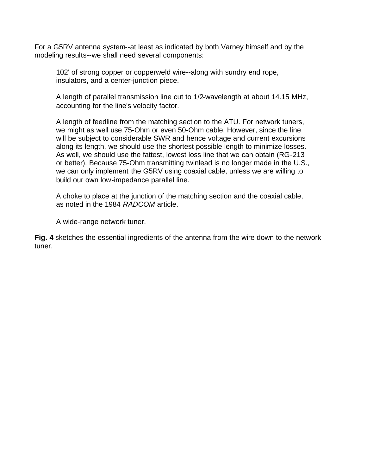For a G5RV antenna system--at least as indicated by both Varney himself and by the modeling results--we shall need several components:

102' of strong copper or copperweld wire--along with sundry end rope, insulators, and a center-junction piece.

A length of parallel transmission line cut to 1/2-wavelength at about 14.15 MHz, accounting for the line's velocity factor.

A length of feedline from the matching section to the ATU. For network tuners, we might as well use 75-Ohm or even 50-Ohm cable. However, since the line will be subject to considerable SWR and hence voltage and current excursions along its length, we should use the shortest possible length to minimize losses. As well, we should use the fattest, lowest loss line that we can obtain (RG-213 or better). Because 75-Ohm transmitting twinlead is no longer made in the U.S., we can only implement the G5RV using coaxial cable, unless we are willing to build our own low-impedance parallel line.

A choke to place at the junction of the matching section and the coaxial cable, as noted in the 1984 *RADCOM* article.

A wide-range network tuner.

**Fig. 4** sketches the essential ingredients of the antenna from the wire down to the network tuner.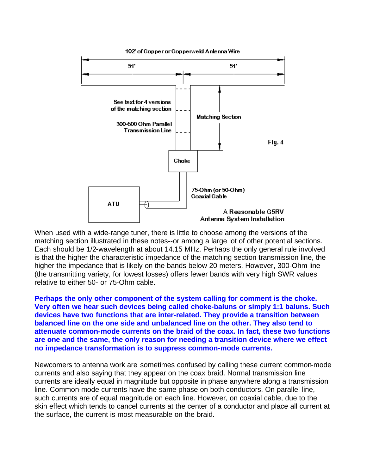

102 of Copper or Copperweld Antenna Wire

When used with a wide-range tuner, there is little to choose among the versions of the matching section illustrated in these notes--or among a large lot of other potential sections. Each should be 1/2-wavelength at about 14.15 MHz. Perhaps the only general rule involved is that the higher the characteristic impedance of the matching section transmission line, the higher the impedance that is likely on the bands below 20 meters. However, 300-Ohm line (the transmitting variety, for lowest losses) offers fewer bands with very high SWR values relative to either 50- or 75-Ohm cable.

**Perhaps the only other component of the system calling for comment is the choke. Very often we hear such devices being called choke-baluns or simply 1:1 baluns. Such devices have two functions that are inter-related. They provide a transition between balanced line on the one side and unbalanced line on the other. They also tend to attenuate common-mode currents on the braid of the coax. In fact, these two functions are one and the same, the only reason for needing a transition device where we effect no impedance transformation is to suppress common-mode currents.** 

Newcomers to antenna work are sometimes confused by calling these current common-mode currents and also saying that they appear on the coax braid. Normal transmission line currents are ideally equal in magnitude but opposite in phase anywhere along a transmission line. Common-mode currents have the same phase on both conductors. On parallel line, such currents are of equal magnitude on each line. However, on coaxial cable, due to the skin effect which tends to cancel currents at the center of a conductor and place all current at the surface, the current is most measurable on the braid.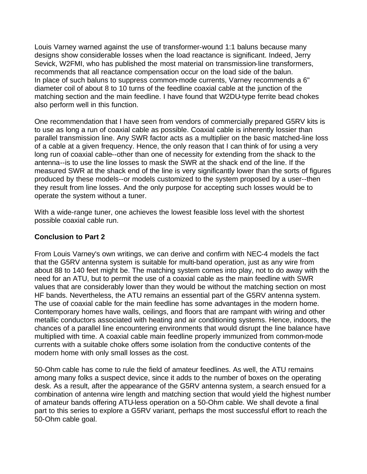Louis Varney warned against the use of transformer-wound 1:1 baluns because many designs show considerable losses when the load reactance is significant. Indeed, Jerry Sevick, W2FMI, who has published the most material on transmission-line transformers, recommends that all reactance compensation occur on the load side of the balun. In place of such baluns to suppress common-mode currents, Varney recommends a 6" diameter coil of about 8 to 10 turns of the feedline coaxial cable at the junction of the matching section and the main feedline. I have found that W2DU-type ferrite bead chokes also perform well in this function.

One recommendation that I have seen from vendors of commercially prepared G5RV kits is to use as long a run of coaxial cable as possible. Coaxial cable is inherently lossier than parallel transmission line. Any SWR factor acts as a multiplier on the basic matched-line loss of a cable at a given frequency. Hence, the only reason that I can think of for using a very long run of coaxial cable--other than one of necessity for extending from the shack to the antenna--is to use the line losses to mask the SWR at the shack end of the line. If the measured SWR at the shack end of the line is very significantly lower than the sorts of figures produced by these models--or models customized to the system proposed by a user--then they result from line losses. And the only purpose for accepting such losses would be to operate the system without a tuner.

With a wide-range tuner, one achieves the lowest feasible loss level with the shortest possible coaxial cable run.

# **Conclusion to Part 2**

From Louis Varney's own writings, we can derive and confirm with NEC-4 models the fact that the G5RV antenna system is suitable for multi-band operation, just as any wire from about 88 to 140 feet might be. The matching system comes into play, not to do away with the need for an ATU, but to permit the use of a coaxial cable as the main feedline with SWR values that are considerably lower than they would be without the matching section on most HF bands. Nevertheless, the ATU remains an essential part of the G5RV antenna system. The use of coaxial cable for the main feedline has some advantages in the modern home. Contemporary homes have walls, ceilings, and floors that are rampant with wiring and other metallic conductors associated with heating and air conditioning systems. Hence, indoors, the chances of a parallel line encountering environments that would disrupt the line balance have multiplied with time. A coaxial cable main feedline properly immunized from common-mode currents with a suitable choke offers some isolation from the conductive contents of the modern home with only small losses as the cost.

50-Ohm cable has come to rule the field of amateur feedlines. As well, the ATU remains among many folks a suspect device, since it adds to the number of boxes on the operating desk. As a result, after the appearance of the G5RV antenna system, a search ensued for a combination of antenna wire length and matching section that would yield the highest number of amateur bands offering ATU-less operation on a 50-Ohm cable. We shall devote a final part to this series to explore a G5RV variant, perhaps the most successful effort to reach the 50-Ohm cable goal.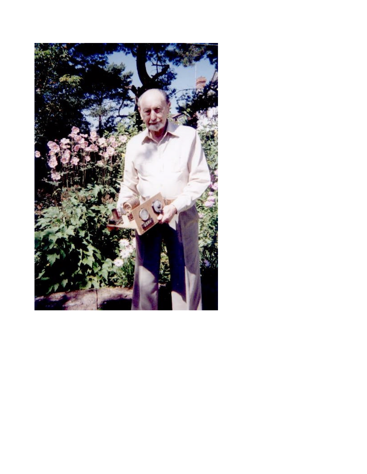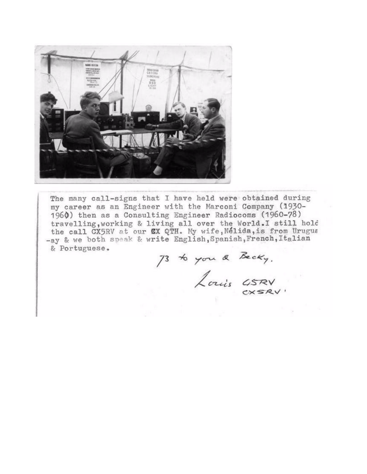

The many call-signs that I have held were obtained during my career as an Engineer with the Marconi Company (1930-1960) then as a Consulting Engineer Radiocoms (1960-78) travelling, working & living all over the World. I still hold<br>the call CX5RV at our EX QTH. My wife, Nelida, is from Urugua<br>-ay & we both speak & write English, Spanish, French, Italian & Portuguese.

73 to you a Becky.<br>Louis GSRV<br>Louis GSRV.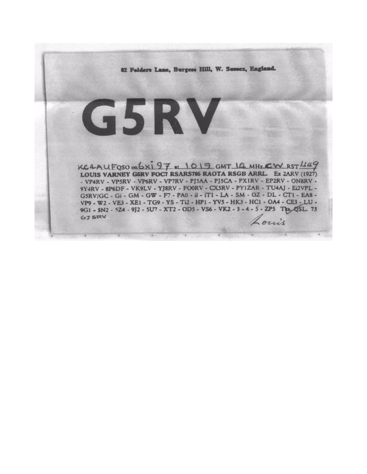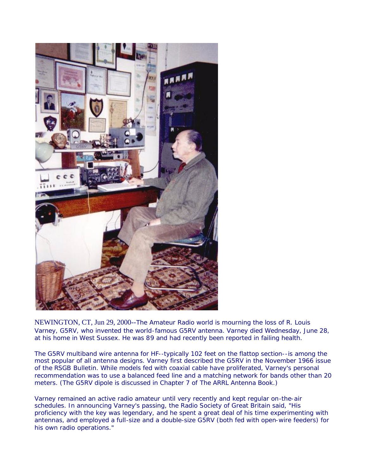

NEWINGTON, CT, Jun 29, 2000--The Amateur Radio world is mourning the loss of R. Louis Varney, G5RV, who invented the world-famous G5RV antenna. Varney died Wednesday, June 28, at his home in West Sussex. He was 89 and had recently been reported in failing health.

The G5RV multiband wire antenna for HF--typically 102 feet on the flattop section--is among the most popular of all antenna designs. Varney first described the G5RV in the November 1966 issue of the *RSGB Bulletin*. While models fed with coaxial cable have proliferated, Varney's personal recommendation was to use a balanced feed line and a matching network for bands other than 20 meters. (The G5RV dipole is discussed in Chapter 7 of *The ARRL Antenna Book*.)

Varney remained an active radio amateur until very recently and kept regular on-the-air schedules. In announcing Varney's passing, the Radio Society of Great Britain said, "His proficiency with the key was legendary, and he spent a great deal of his time experimenting with antennas, and employed a full-size and a double-size G5RV (both fed with open-wire feeders) for his own radio operations."